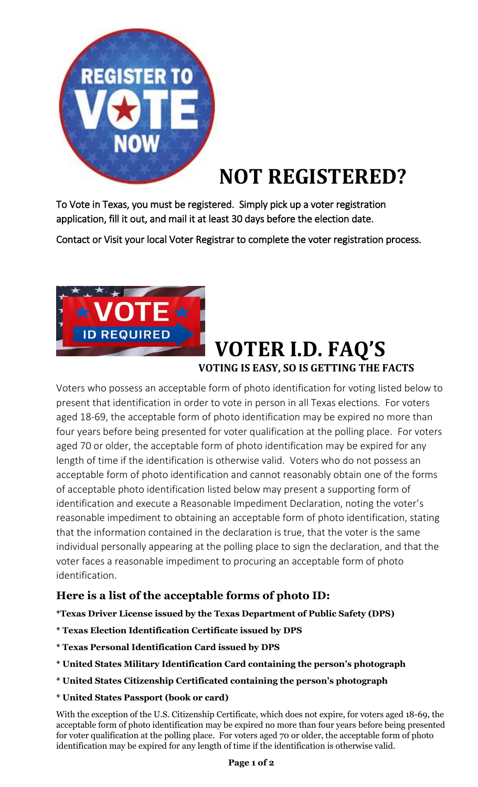

# **NOT REGISTERED?**

To Vote in Texas, you must be registered. Simply pick up a voter registration application, fill it out, and mail it at least 30 days before the election date.

Contact or Visit your local Voter Registrar to complete the voter registration process.



# **VOTER I.D. FAQ'S VOTING IS EASY, SO IS GETTING THE FACTS**

Voters who possess an acceptable form of photo identification for voting listed below to present that identification in order to vote in person in all Texas elections. For voters aged 18-69, the acceptable form of photo identification may be expired no more than four years before being presented for voter qualification at the polling place. For voters aged 70 or older, the acceptable form of photo identification may be expired for any length of time if the identification is otherwise valid. Voters who do not possess an acceptable form of photo identification and cannot reasonably obtain one of the forms of acceptable photo identification listed below may present a supporting form of identification and execute a Reasonable Impediment Declaration, noting the voter's reasonable impediment to obtaining an acceptable form of photo identification, stating that the information contained in the declaration is true, that the voter is the same individual personally appearing at the polling place to sign the declaration, and that the voter faces a reasonable impediment to procuring an acceptable form of photo identification.

## **Here is a list of the acceptable forms of photo ID:**

**\*Texas Driver License issued by the Texas Department of Public Safety (DPS)**

- **\* Texas Election Identification Certificate issued by DPS**
- **\* Texas Personal Identification Card issued by DPS**
- **\* United States Military Identification Card containing the person's photograph**
- **\* United States Citizenship Certificated containing the person's photograph**

#### **\* United States Passport (book or card)**

With the exception of the U.S. Citizenship Certificate, which does not expire, for voters aged 18-69, the acceptable form of photo identification may be expired no more than four years before being presented for voter qualification at the polling place. For voters aged 70 or older, the acceptable form of photo identification may be expired for any length of time if the identification is otherwise valid.

#### **Page 1 of 2**